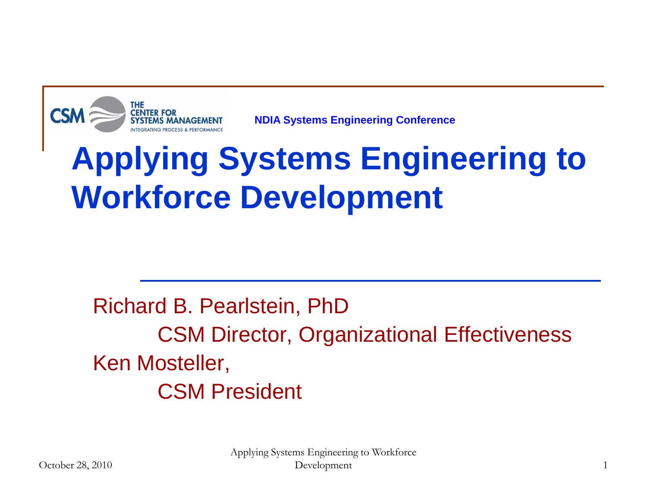

**NDIA Systems Engineering Conference**

## **Applying Systems Engineering to Workforce Development**

Richard B. Pearlstein, PhD CSM Director, Organizational Effectiveness Ken Mosteller, CSM President

> Applying Systems Engineering to Workforce Development 1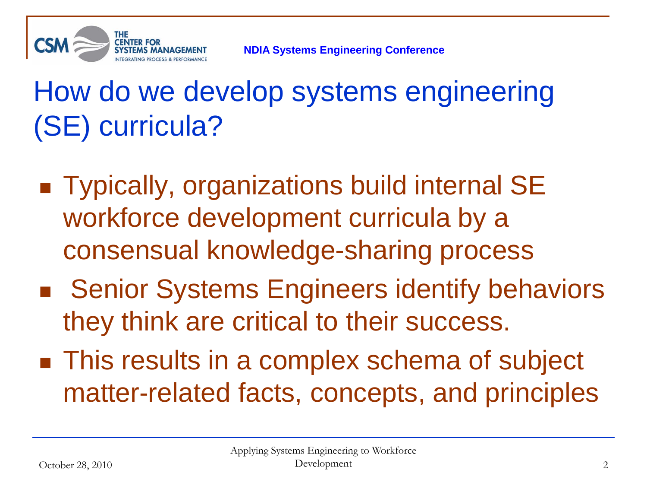

#### How do we develop systems engineering (SE) curricula?

- Typically, organizations build internal SE workforce development curricula by a consensual knowledge-sharing process
- Senior Systems Engineers identify behaviors they think are critical to their success.
- **This results in a complex schema of subject** matter-related facts, concepts, and principles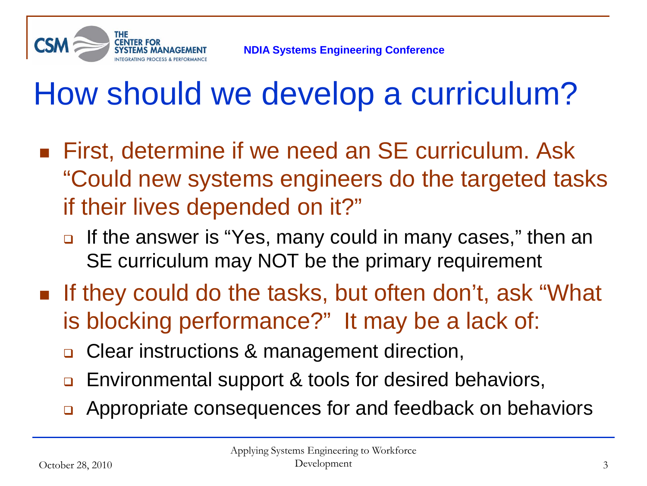

## How should we develop a curriculum?

- First, determine if we need an SE curriculum. Ask "Could new systems engineers do the targeted tasks if their lives depended on it?"
	- **If the answer is "Yes, many could in many cases," then an** SE curriculum may NOT be the primary requirement
- **If they could do the tasks, but often don't, ask "What** is blocking performance?" It may be a lack of:
	- □ Clear instructions & management direction,
	- **Environmental support & tools for desired behaviors,**
	- **□** Appropriate consequences for and feedback on behaviors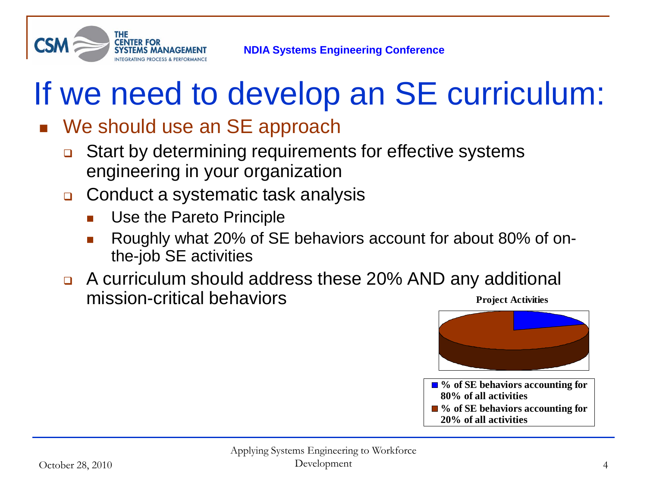

## If we need to develop an SE curriculum:

#### We should use an SE approach

- **□** Start by determining requirements for effective systems engineering in your organization
- Conduct a systematic task analysis
	- Use the Pareto Principle
	- Roughly what 20% of SE behaviors account for about 80% of onthe-job SE activities
- A curriculum should address these 20% AND any additional mission-critical behaviors **Project Activities**



**80% of all activities** ■ <sup>9</sup>% of SE behaviors accounting for **20% of all activities**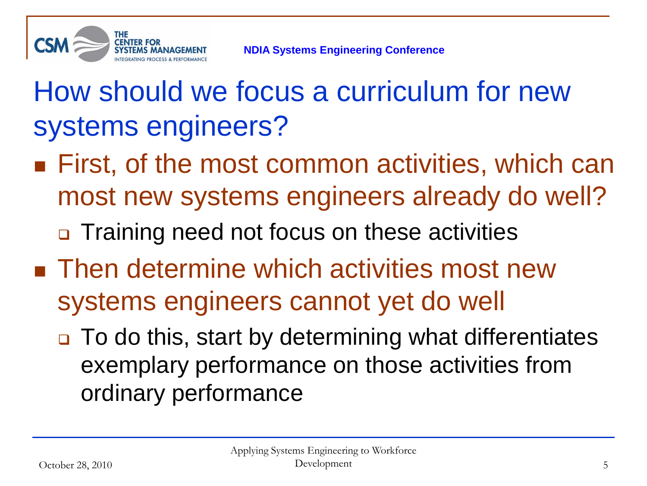

How should we focus a curriculum for new systems engineers?

- **First, of the most common activities, which can** most new systems engineers already do well?
	- □ Training need not focus on these activities
- **Then determine which activities most new** systems engineers cannot yet do well
	- □ To do this, start by determining what differentiates exemplary performance on those activities from ordinary performance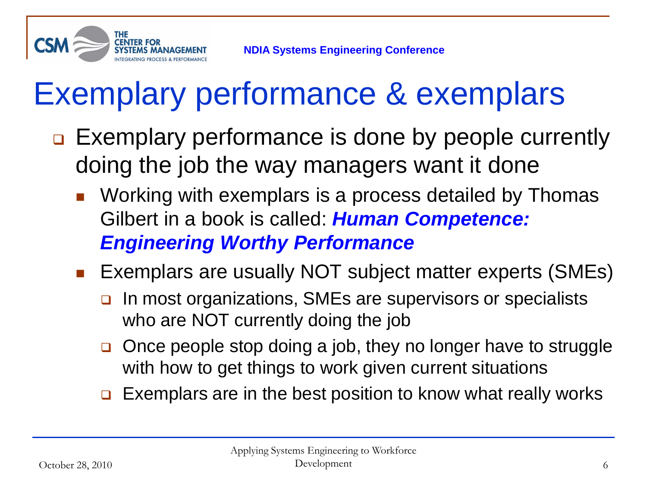

## Exemplary performance & exemplars

- **□ Exemplary performance is done by people currently** doing the job the way managers want it done
	- **Norking with exemplars is a process detailed by Thomas** Gilbert in a book is called: *Human Competence: Engineering Worthy Performance*
	- **Exemplars are usually NOT subject matter experts (SMEs)** 
		- □ In most organizations, SMEs are supervisors or specialists who are NOT currently doing the job
		- **□** Once people stop doing a job, they no longer have to struggle with how to get things to work given current situations
		- $\Box$  Exemplars are in the best position to know what really works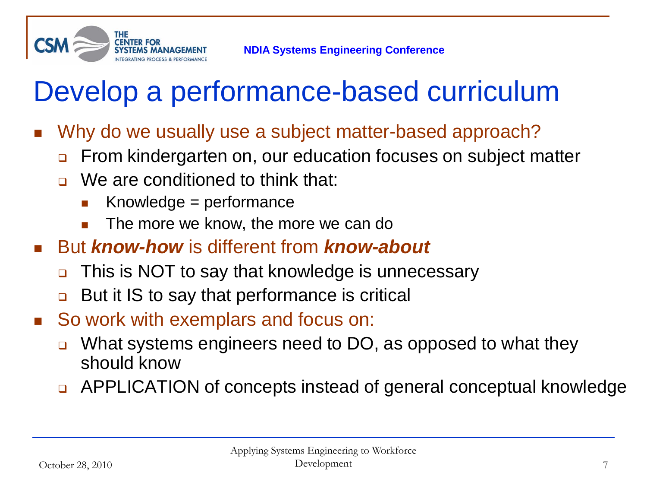

#### Develop a performance-based curriculum

- Why do we usually use a subject matter-based approach?
	- **EXT** From kindergarten on, our education focuses on subject matter
	- □ We are conditioned to think that:
		- Knowledge  $=$  performance
		- The more we know, the more we can do
- But *know-how* is different from *know-about*
	- This is NOT to say that knowledge is unnecessary
	- But it IS to say that performance is critical
- So work with exemplars and focus on:
	- What systems engineers need to DO, as opposed to what they should know
	- □ APPLICATION of concepts instead of general conceptual knowledge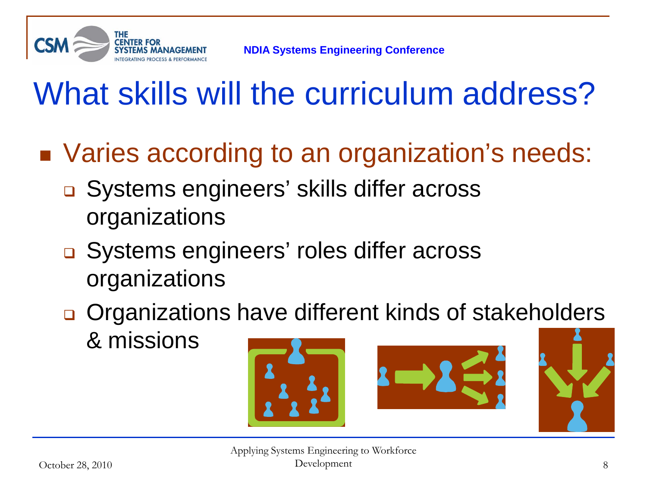

## What skills will the curriculum address?

- Varies according to an organization's needs:
	- **□** Systems engineers' skills differ across organizations
	- **□** Systems engineers' roles differ across organizations
	- **□** Organizations have different kinds of stakeholders & missions

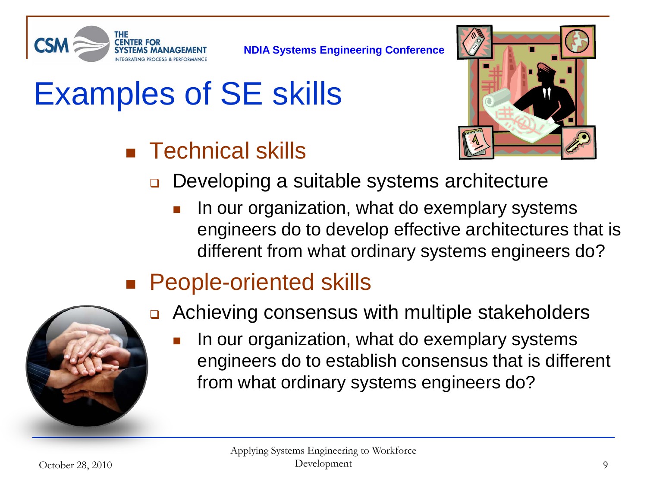

# Examples of SE skills

#### **Technical skills**



- **□** Developing a suitable systems architecture
	- In our organization, what do exemplary systems engineers do to develop effective architectures that is different from what ordinary systems engineers do?
- People-oriented skills



- **□** Achieving consensus with multiple stakeholders
	- In our organization, what do exemplary systems engineers do to establish consensus that is different from what ordinary systems engineers do?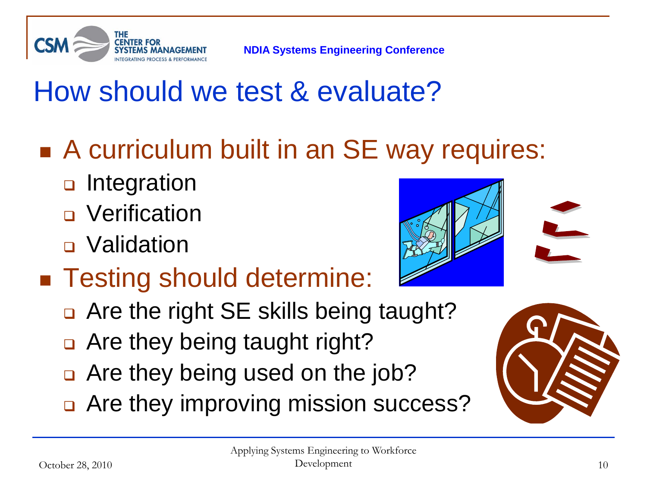

### How should we test & evaluate?

- A curriculum built in an SE way requires:
	- **D** Integration
	- **D** Verification
	- **□** Validation
- Testing should determine:
	- Are the right SE skills being taught?
	- □ Are they being taught right?
	- Are they being used on the job?
	- □ Are they improving mission success?



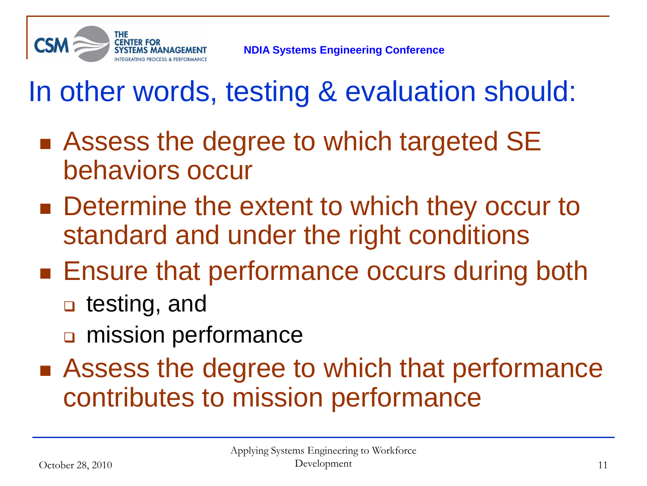

### In other words, testing & evaluation should:

- Assess the degree to which targeted SE behaviors occur
- Determine the extent to which they occur to standard and under the right conditions
- **Ensure that performance occurs during both** 
	- **□** testing, and
	- mission performance
- Assess the degree to which that performance contributes to mission performance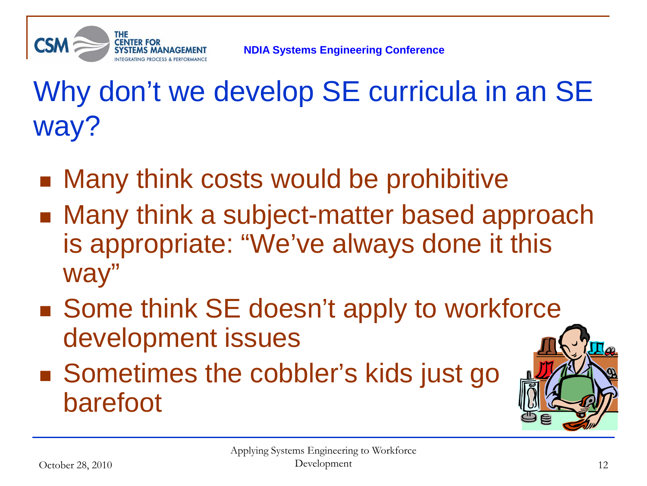

Why don't we develop SE curricula in an SE way?

- Many think costs would be prohibitive
- Many think a subject-matter based approach is appropriate: "We've always done it this way"
- Some think SE doesn't apply to workforce development issues
- Sometimes the cobbler's kids just go barefoot

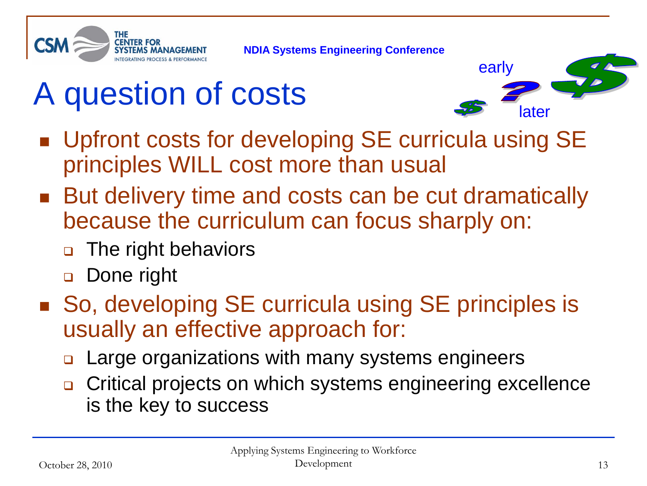

# A question of costs



- Upfront costs for developing SE curricula using SE principles WILL cost more than usual
- But delivery time and costs can be cut dramatically because the curriculum can focus sharply on:
	- **□** The right behaviors
	- □ Done right
- So, developing SE curricula using SE principles is usually an effective approach for:
	- **□** Large organizations with many systems engineers
	- **□** Critical projects on which systems engineering excellence is the key to success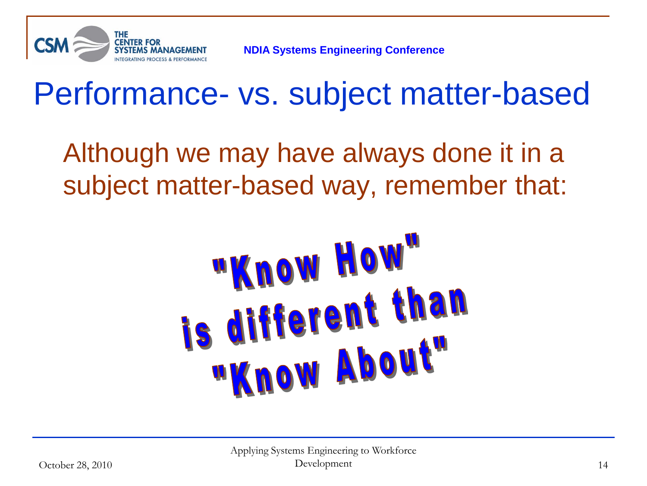

## Performance- vs. subject matter-based

Although we may have always done it in a subject matter-based way, remember that:

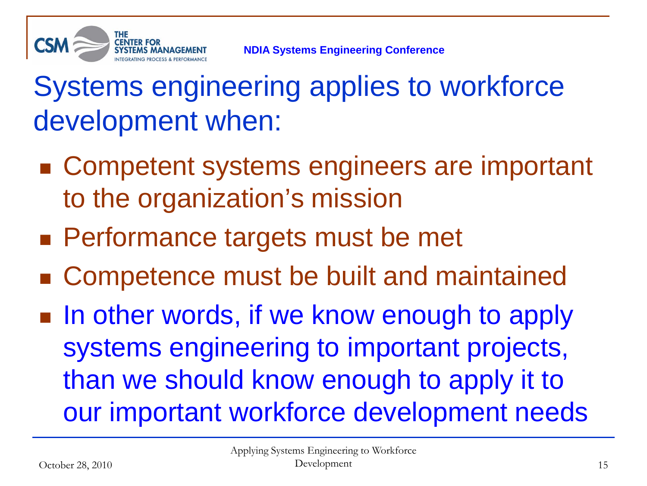

#### Systems engineering applies to workforce development when:

- Competent systems engineers are important to the organization's mission
- **Performance targets must be met**
- Competence must be built and maintained
- In other words, if we know enough to apply systems engineering to important projects, than we should know enough to apply it to our important workforce development needs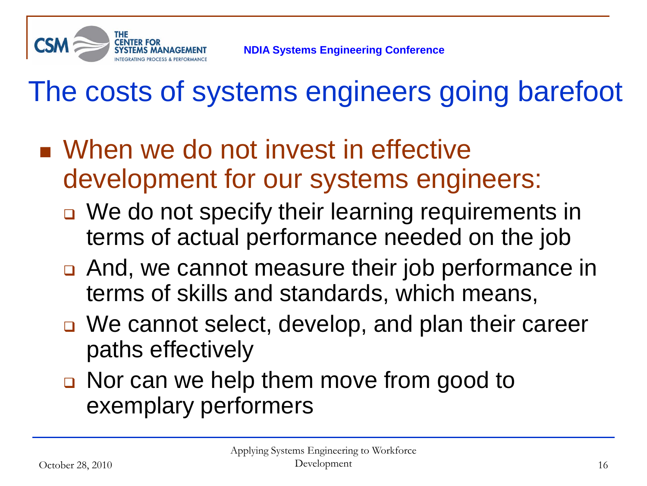

### The costs of systems engineers going barefoot

- When we do not invest in effective development for our systems engineers:
	- □ We do not specify their learning requirements in terms of actual performance needed on the job
	- **□** And, we cannot measure their job performance in terms of skills and standards, which means,
	- □ We cannot select, develop, and plan their career paths effectively
	- Nor can we help them move from good to exemplary performers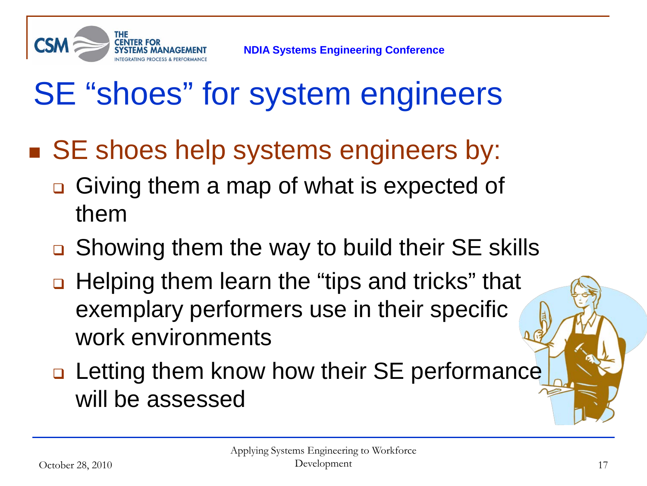

## SE "shoes" for system engineers

- SE shoes help systems engineers by:
	- **□** Giving them a map of what is expected of them
	- **□** Showing them the way to build their SE skills
	- □ Helping them learn the "tips and tricks" that exemplary performers use in their specific work environments
	- **□ Letting them know how their SE performance** will be assessed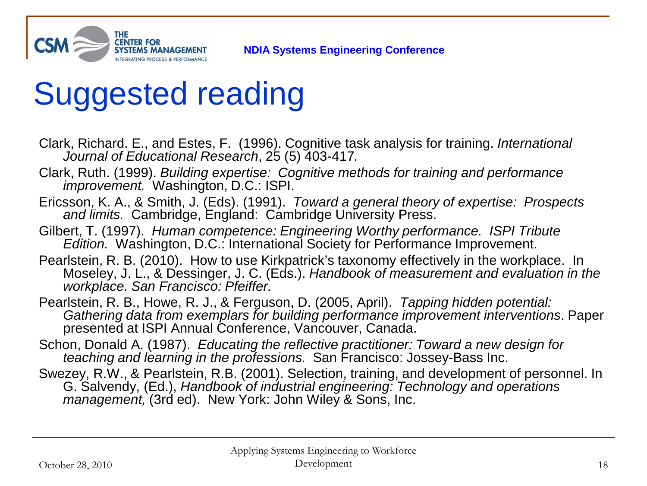

## Suggested reading

- Clark, Richard. E., and Estes, F. (1996). Cognitive task analysis for training. *International Journal of Educational Research*, 25 (5) 403-417*.*
- Clark, Ruth. (1999). *Building expertise: Cognitive methods for training and performance improvement.* Washington, D.C.: ISPI.
- Ericsson, K. A., & Smith, J. (Eds). (1991). *Toward a general theory of expertise: Prospects and limits.* Cambridge, England: Cambridge University Press.
- Gilbert, T. (1997). *Human competence: Engineering Worthy performance. ISPI Tribute Edition.* Washington, D.C.: International Society for Performance Improvement.
- Pearlstein, R. B. (2010). How to use Kirkpatrick's taxonomy effectively in the workplace. In Moseley, J. L., & Dessinger, J. C. (Eds.). *Handbook of measurement and evaluation in the workplace. San Francisco: Pfeiffer.*
- Pearlstein, R. B., Howe, R. J., & Ferguson, D. (2005, April). *Tapping hidden potential: Gathering data from exemplars for building performance improvement interventions*. Paper presented at ISPI Annual Conference, Vancouver, Canada.
- Schon, Donald A. (1987). *Educating the reflective practitioner: Toward a new design for teaching and learning in the professions.* San Francisco: Jossey-Bass Inc.
- Swezey, R.W., & Pearlstein, R.B. (2001). Selection, training, and development of personnel. In G. Salvendy, (Ed.), *Handbook of industrial engineering: Technology and operations management,* (3rd ed). New York: John Wiley & Sons, Inc.